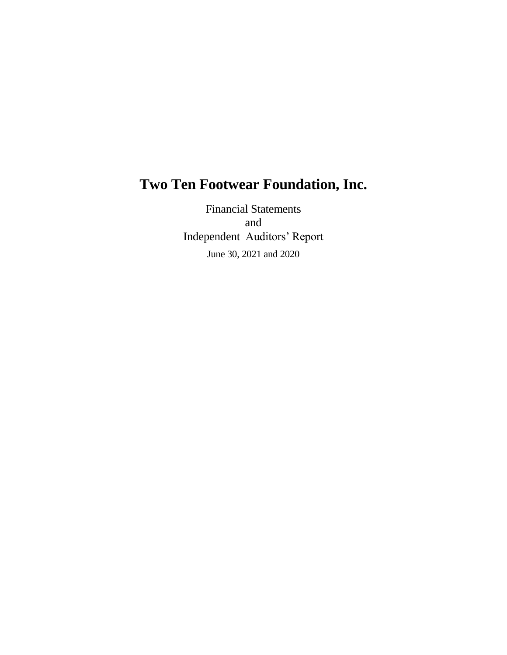Financial Statements and Independent Auditors' Report June 30, 2021 and 2020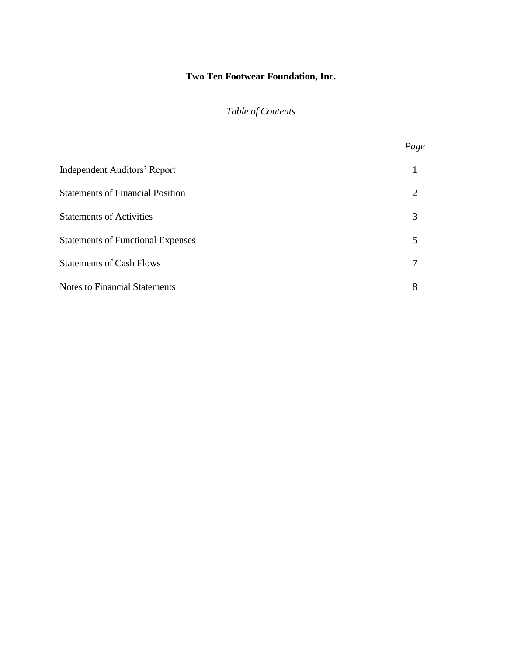## *Table of Contents*

*Page*

| <b>Independent Auditors' Report</b>      |   |
|------------------------------------------|---|
| <b>Statements of Financial Position</b>  |   |
| <b>Statements of Activities</b>          | 3 |
| <b>Statements of Functional Expenses</b> |   |
| <b>Statements of Cash Flows</b>          |   |
| <b>Notes to Financial Statements</b>     | 8 |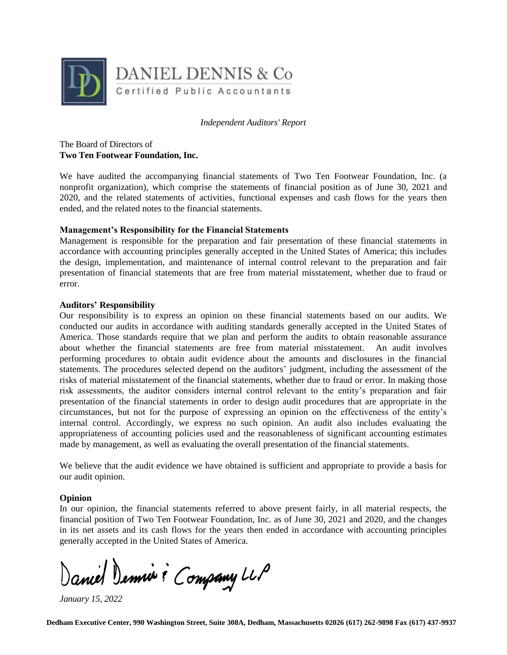

#### *Independent Auditors' Report*

#### The Board of Directors of **Two Ten Footwear Foundation, Inc.**

We have audited the accompanying financial statements of Two Ten Footwear Foundation, Inc. (a nonprofit organization), which comprise the statements of financial position as of June 30, 2021 and 2020, and the related statements of activities, functional expenses and cash flows for the years then ended, and the related notes to the financial statements.

#### **Management's Responsibility for the Financial Statements**

Management is responsible for the preparation and fair presentation of these financial statements in accordance with accounting principles generally accepted in the United States of America; this includes the design, implementation, and maintenance of internal control relevant to the preparation and fair presentation of financial statements that are free from material misstatement, whether due to fraud or error.

#### **Auditors' Responsibility**

Our responsibility is to express an opinion on these financial statements based on our audits. We conducted our audits in accordance with auditing standards generally accepted in the United States of America. Those standards require that we plan and perform the audits to obtain reasonable assurance about whether the financial statements are free from material misstatement. An audit involves performing procedures to obtain audit evidence about the amounts and disclosures in the financial statements. The procedures selected depend on the auditors' judgment, including the assessment of the risks of material misstatement of the financial statements, whether due to fraud or error. In making those risk assessments, the auditor considers internal control relevant to the entity's preparation and fair presentation of the financial statements in order to design audit procedures that are appropriate in the circumstances, but not for the purpose of expressing an opinion on the effectiveness of the entity's internal control. Accordingly, we express no such opinion. An audit also includes evaluating the appropriateness of accounting policies used and the reasonableness of significant accounting estimates made by management, as well as evaluating the overall presentation of the financial statements.

We believe that the audit evidence we have obtained is sufficient and appropriate to provide a basis for our audit opinion.

## **Opinion**

In our opinion, the financial statements referred to above present fairly, in all material respects, the financial position of Two Ten Footwear Foundation, Inc. as of June 30, 2021 and 2020, and the changes in its net assets and its cash flows for the years then ended in accordance with accounting principles generally accepted in the United States of America.

Daniel Dennie : Company LLP

*January 15, 2022*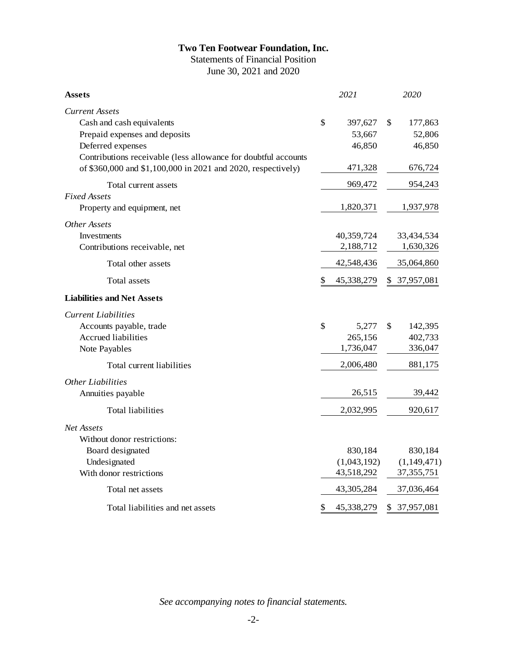## Statements of Financial Position

June 30, 2021 and 2020

| <b>Assets</b>                                                  |    | 2021         | 2020          |
|----------------------------------------------------------------|----|--------------|---------------|
| <b>Current Assets</b>                                          |    |              |               |
| Cash and cash equivalents                                      | \$ | 397,627      | \$<br>177,863 |
| Prepaid expenses and deposits                                  |    | 53,667       | 52,806        |
| Deferred expenses                                              |    | 46,850       | 46,850        |
| Contributions receivable (less allowance for doubtful accounts |    |              |               |
| of \$360,000 and \$1,100,000 in 2021 and 2020, respectively)   |    | 471,328      | 676,724       |
| Total current assets                                           |    | 969,472      | 954,243       |
| <b>Fixed Assets</b>                                            |    |              |               |
| Property and equipment, net                                    |    | 1,820,371    | 1,937,978     |
| Other Assets                                                   |    |              |               |
| Investments                                                    |    | 40,359,724   | 33,434,534    |
| Contributions receivable, net                                  |    | 2,188,712    | 1,630,326     |
| Total other assets                                             |    | 42,548,436   | 35,064,860    |
| Total assets                                                   | S  | 45,338,279   | \$ 37,957,081 |
| <b>Liabilities and Net Assets</b>                              |    |              |               |
| <b>Current Liabilities</b>                                     |    |              |               |
| Accounts payable, trade                                        | \$ | 5,277        | \$<br>142,395 |
| <b>Accrued liabilities</b>                                     |    | 265,156      | 402,733       |
| Note Payables                                                  |    | 1,736,047    | 336,047       |
| Total current liabilities                                      |    | 2,006,480    | 881,175       |
| <b>Other Liabilities</b>                                       |    |              |               |
| Annuities payable                                              |    | 26,515       | 39,442        |
| <b>Total liabilities</b>                                       |    | 2,032,995    | 920,617       |
| Net Assets                                                     |    |              |               |
| Without donor restrictions:                                    |    |              |               |
| Board designated                                               |    | 830,184      | 830,184       |
| Undesignated                                                   |    | (1,043,192)  | (1,149,471)   |
| With donor restrictions                                        |    | 43,518,292   | 37, 355, 751  |
| Total net assets                                               |    | 43, 305, 284 | 37,036,464    |
| Total liabilities and net assets                               | \$ | 45,338,279   | \$ 37,957,081 |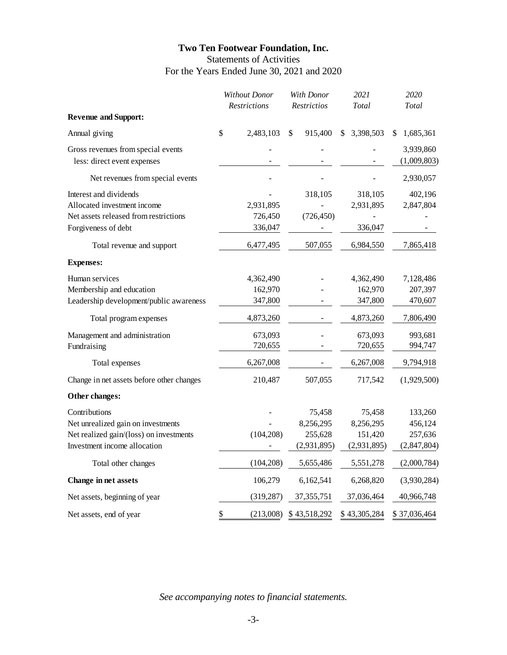Statements of Activities

For the Years Ended June 30, 2021 and 2020

|                                           | Without Donor<br><b>Restrictions</b> | With Donor<br>Restrictios | 2021            |   | 2020         |
|-------------------------------------------|--------------------------------------|---------------------------|-----------------|---|--------------|
| <b>Revenue and Support:</b>               |                                      |                           | Total           |   | Total        |
| Annual giving                             | \$<br>2,483,103                      | \$<br>915,400             | \$<br>3,398,503 | S | 1,685,361    |
| Gross revenues from special events        |                                      |                           |                 |   | 3,939,860    |
| less: direct event expenses               |                                      |                           |                 |   | (1,009,803)  |
| Net revenues from special events          |                                      |                           |                 |   | 2,930,057    |
| Interest and dividends                    |                                      | 318,105                   | 318,105         |   | 402,196      |
| Allocated investment income               | 2,931,895                            |                           | 2,931,895       |   | 2,847,804    |
| Net assets released from restrictions     | 726,450                              | (726, 450)                |                 |   |              |
| Forgiveness of debt                       | 336,047                              |                           | 336,047         |   |              |
| Total revenue and support                 | 6,477,495                            | 507,055                   | 6,984,550       |   | 7,865,418    |
| <b>Expenses:</b>                          |                                      |                           |                 |   |              |
| Human services                            | 4,362,490                            |                           | 4,362,490       |   | 7,128,486    |
| Membership and education                  | 162,970                              |                           | 162,970         |   | 207,397      |
| Leadership development/public awareness   | 347,800                              |                           | 347,800         |   | 470,607      |
| Total program expenses                    | 4,873,260                            |                           | 4,873,260       |   | 7,806,490    |
| Management and administration             | 673,093                              |                           | 673,093         |   | 993,681      |
| Fundraising                               | 720,655                              |                           | 720,655         |   | 994,747      |
| Total expenses                            | 6,267,008                            |                           | 6,267,008       |   | 9,794,918    |
| Change in net assets before other changes | 210,487                              | 507,055                   | 717,542         |   | (1,929,500)  |
| Other changes:                            |                                      |                           |                 |   |              |
| Contributions                             |                                      | 75,458                    | 75,458          |   | 133,260      |
| Net unrealized gain on investments        |                                      | 8,256,295                 | 8,256,295       |   | 456,124      |
| Net realized gain/(loss) on investments   | (104, 208)                           | 255,628                   | 151,420         |   | 257,636      |
| Investment income allocation              |                                      | (2,931,895)               | (2,931,895)     |   | (2,847,804)  |
| Total other changes                       | (104, 208)                           | 5,655,486                 | 5,551,278       |   | (2,000,784)  |
| Change in net assets                      | 106,279                              | 6,162,541                 | 6,268,820       |   | (3,930,284)  |
| Net assets, beginning of year             | (319, 287)                           | 37, 355, 751              | 37,036,464      |   | 40,966,748   |
| Net assets, end of year                   | \$<br>(213,008)                      | \$43,518,292              | \$43,305,284    |   | \$37,036,464 |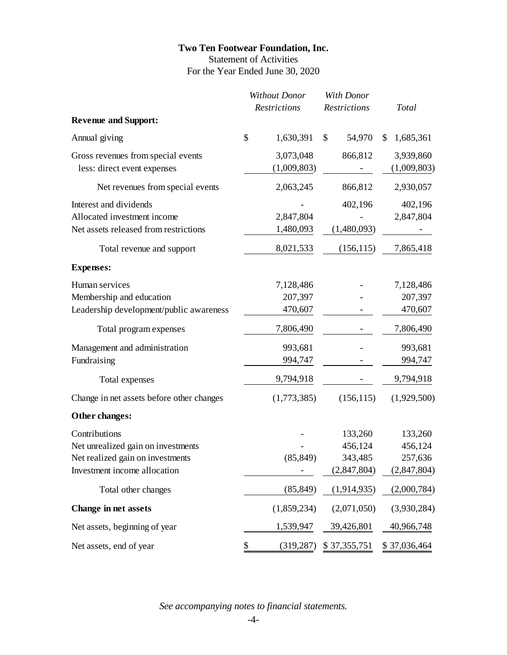Statement of Activities

For the Year Ended June 30, 2020

|                                                                                                                         | <b>Without Donor</b><br><b>Restrictions</b> | With Donor<br><b>Restrictions</b>            | <b>Total</b>                                 |
|-------------------------------------------------------------------------------------------------------------------------|---------------------------------------------|----------------------------------------------|----------------------------------------------|
| <b>Revenue and Support:</b>                                                                                             |                                             |                                              |                                              |
| Annual giving                                                                                                           | \$<br>1,630,391                             | \$<br>54,970                                 | \$<br>1,685,361                              |
| Gross revenues from special events<br>less: direct event expenses                                                       | 3,073,048<br>(1,009,803)                    | 866,812                                      | 3,939,860<br>(1,009,803)                     |
| Net revenues from special events                                                                                        | 2,063,245                                   | 866,812                                      | 2,930,057                                    |
| Interest and dividends<br>Allocated investment income<br>Net assets released from restrictions                          | 2,847,804<br>1,480,093                      | 402,196<br>(1,480,093)                       | 402,196<br>2,847,804                         |
| Total revenue and support                                                                                               | 8,021,533                                   | (156, 115)                                   | 7,865,418                                    |
| <b>Expenses:</b>                                                                                                        |                                             |                                              |                                              |
| Human services<br>Membership and education<br>Leadership development/public awareness                                   | 7,128,486<br>207,397<br>470,607             |                                              | 7,128,486<br>207,397<br>470,607              |
| Total program expenses                                                                                                  | 7,806,490                                   |                                              | 7,806,490                                    |
| Management and administration<br>Fundraising                                                                            | 993,681<br>994,747                          |                                              | 993,681<br>994,747                           |
| Total expenses                                                                                                          | 9,794,918                                   |                                              | 9,794,918                                    |
| Change in net assets before other changes                                                                               | (1,773,385)                                 | (156, 115)                                   | (1,929,500)                                  |
| Other changes:                                                                                                          |                                             |                                              |                                              |
| Contributions<br>Net unrealized gain on investments<br>Net realized gain on investments<br>Investment income allocation | (85, 849)                                   | 133,260<br>456,124<br>343,485<br>(2,847,804) | 133,260<br>456,124<br>257,636<br>(2,847,804) |
| Total other changes                                                                                                     | (85, 849)                                   | (1,914,935)                                  | (2,000,784)                                  |
| Change in net assets                                                                                                    | (1,859,234)                                 | (2,071,050)                                  | (3,930,284)                                  |
| Net assets, beginning of year                                                                                           | 1,539,947                                   | 39,426,801                                   | 40,966,748                                   |
| Net assets, end of year                                                                                                 | \$<br>(319, 287)                            | \$37,355,751                                 | \$37,036,464                                 |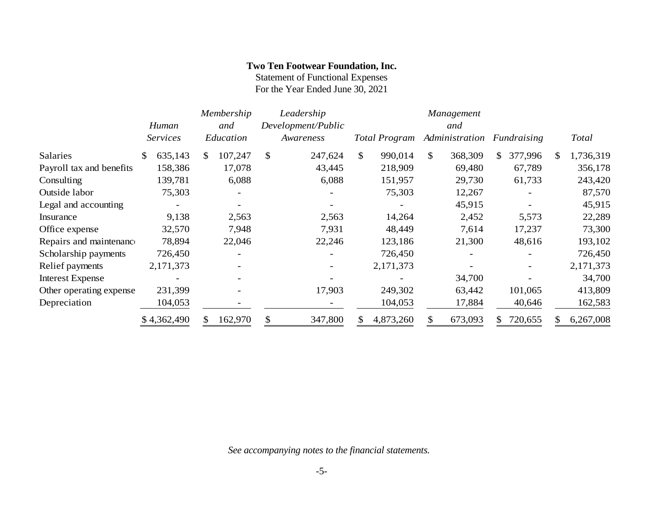Statement of Functional Expenses

For the Year Ended June 30, 2021

|                          |                 | Membership    | Leadership         |                      | Management                 |               |                  |
|--------------------------|-----------------|---------------|--------------------|----------------------|----------------------------|---------------|------------------|
|                          | Human           | and           | Development/Public |                      | and                        |               |                  |
|                          | <b>Services</b> | Education     | Awareness          | <b>Total Program</b> | Administration Fundraising |               | Total            |
| Salaries                 | 635,143<br>S.   | 107,247<br>S. | \$<br>247,624      | 990,014<br>\$        | 368,309<br>S.              | 377,996<br>S. | 1,736,319<br>\$. |
| Payroll tax and benefits | 158,386         | 17,078        | 43,445             | 218,909              | 69,480                     | 67,789        | 356,178          |
| Consulting               | 139,781         | 6,088         | 6,088              | 151,957              | 29,730                     | 61,733        | 243,420          |
| Outside labor            | 75,303          |               |                    | 75,303               | 12,267                     |               | 87,570           |
| Legal and accounting     |                 |               |                    |                      | 45,915                     |               | 45,915           |
| Insurance                | 9,138           | 2,563         | 2,563              | 14,264               | 2,452                      | 5,573         | 22,289           |
| Office expense           | 32,570          | 7,948         | 7,931              | 48,449               | 7,614                      | 17,237        | 73,300           |
| Repairs and maintenance  | 78,894          | 22,046        | 22,246             | 123,186              | 21,300                     | 48,616        | 193,102          |
| Scholarship payments     | 726,450         |               |                    | 726,450              |                            |               | 726,450          |
| Relief payments          | 2,171,373       |               |                    | 2,171,373            |                            |               | 2,171,373        |
| <b>Interest Expense</b>  |                 |               |                    |                      | 34,700                     |               | 34,700           |
| Other operating expense  | 231,399         |               | 17,903             | 249,302              | 63,442                     | 101,065       | 413,809          |
| Depreciation             | 104,053         |               |                    | 104,053              | 17,884                     | 40,646        | 162,583          |
|                          | \$4,362,490     | 162,970       | 347,800<br>\$      | 4,873,260            | 673,093                    | 720,655       | 6,267,008        |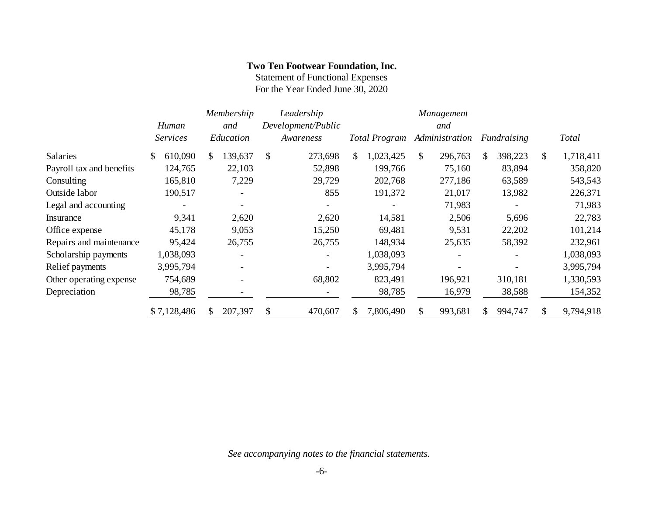Statement of Functional Expenses

For the Year Ended June 30, 2020

|                          |                          | Membership    | Leadership         |                      | Management     |               |                 |
|--------------------------|--------------------------|---------------|--------------------|----------------------|----------------|---------------|-----------------|
|                          | Human                    | and           | Development/Public |                      | and            |               |                 |
|                          | <b>Services</b>          | Education     | Awareness          | <b>Total Program</b> | Administration | Fundraising   | Total           |
| Salaries                 | 610,090<br>\$            | 139,637<br>S. | \$<br>273,698      | 1,023,425<br>\$      | \$<br>296,763  | 398,223       | 1,718,411<br>S. |
| Payroll tax and benefits | 124,765                  | 22,103        | 52,898             | 199,766              | 75,160         | 83,894        | 358,820         |
| Consulting               | 165,810                  | 7,229         | 29,729             | 202,768              | 277,186        | 63,589        | 543,543         |
| Outside labor            | 190,517                  |               | 855                | 191,372              | 21,017         | 13,982        | 226,371         |
| Legal and accounting     | $\overline{\phantom{a}}$ |               |                    |                      | 71,983         |               | 71,983          |
| Insurance                | 9,341                    | 2,620         | 2,620              | 14,581               | 2,506          | 5,696         | 22,783          |
| Office expense           | 45,178                   | 9,053         | 15,250             | 69,481               | 9,531          | 22,202        | 101,214         |
| Repairs and maintenance  | 95,424                   | 26,755        | 26,755             | 148,934              | 25,635         | 58,392        | 232,961         |
| Scholarship payments     | 1,038,093                |               |                    | 1,038,093            |                |               | 1,038,093       |
| Relief payments          | 3,995,794                |               |                    | 3,995,794            |                |               | 3,995,794       |
| Other operating expense  | 754,689                  |               | 68,802             | 823,491              | 196,921        | 310,181       | 1,330,593       |
| Depreciation             | 98,785                   |               |                    | 98,785               | 16,979         | 38,588        | 154,352         |
|                          | \$7,128,486              | 207,397       | 470,607            | 7,806,490<br>S       | 993,681        | 994,747<br>S. | 9,794,918       |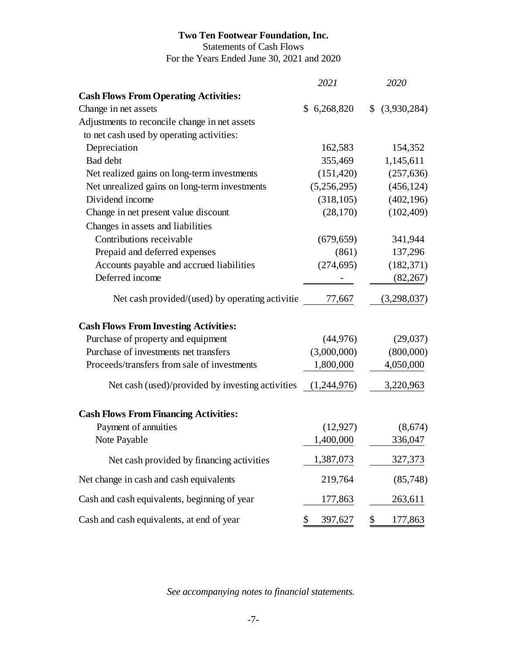# Statements of Cash Flows

For the Years Ended June 30, 2021 and 2020

|                                                  | 2021          | 2020           |
|--------------------------------------------------|---------------|----------------|
| <b>Cash Flows From Operating Activities:</b>     |               |                |
| Change in net assets                             | \$6,268,820   | \$ (3,930,284) |
| Adjustments to reconcile change in net assets    |               |                |
| to net cash used by operating activities:        |               |                |
| Depreciation                                     | 162,583       | 154,352        |
| Bad debt                                         | 355,469       | 1,145,611      |
| Net realized gains on long-term investments      | (151, 420)    | (257, 636)     |
| Net unrealized gains on long-term investments    | (5,256,295)   | (456, 124)     |
| Dividend income                                  | (318, 105)    | (402, 196)     |
| Change in net present value discount             | (28,170)      | (102, 409)     |
| Changes in assets and liabilities                |               |                |
| Contributions receivable                         | (679, 659)    | 341,944        |
| Prepaid and deferred expenses                    | (861)         | 137,296        |
| Accounts payable and accrued liabilities         | (274, 695)    | (182, 371)     |
| Deferred income                                  |               | (82, 267)      |
| Net cash provided/(used) by operating activitie  | 77,667        | (3,298,037)    |
| <b>Cash Flows From Investing Activities:</b>     |               |                |
| Purchase of property and equipment               | (44, 976)     | (29,037)       |
| Purchase of investments net transfers            | (3,000,000)   | (800,000)      |
| Proceeds/transfers from sale of investments      | 1,800,000     | 4,050,000      |
| Net cash (used)/provided by investing activities | (1,244,976)   | 3,220,963      |
| <b>Cash Flows From Financing Activities:</b>     |               |                |
| Payment of annuities                             | (12, 927)     | (8,674)        |
| Note Payable                                     | 1,400,000     | 336,047        |
| Net cash provided by financing activities        | 1,387,073     | 327,373        |
| Net change in cash and cash equivalents          | 219,764       | (85,748)       |
| Cash and cash equivalents, beginning of year     | 177,863       | 263,611        |
| Cash and cash equivalents, at end of year        | \$<br>397,627 | \$<br>177,863  |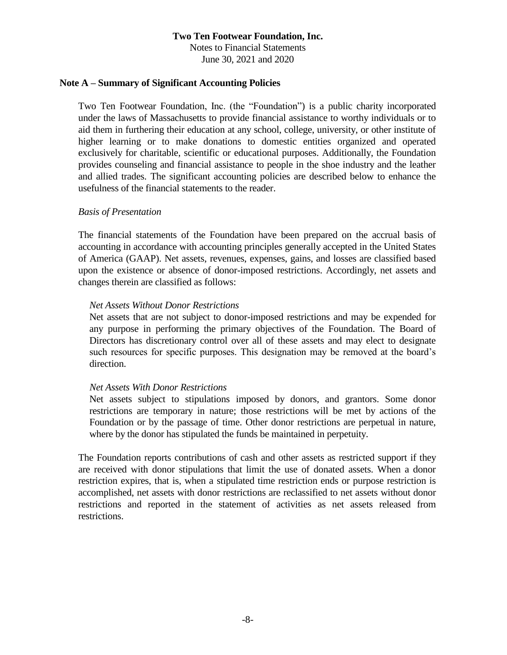Notes to Financial Statements June 30, 2021 and 2020

#### **Note A – Summary of Significant Accounting Policies**

Two Ten Footwear Foundation, Inc. (the "Foundation") is a public charity incorporated under the laws of Massachusetts to provide financial assistance to worthy individuals or to aid them in furthering their education at any school, college, university, or other institute of higher learning or to make donations to domestic entities organized and operated exclusively for charitable, scientific or educational purposes. Additionally, the Foundation provides counseling and financial assistance to people in the shoe industry and the leather and allied trades. The significant accounting policies are described below to enhance the usefulness of the financial statements to the reader.

#### *Basis of Presentation*

The financial statements of the Foundation have been prepared on the accrual basis of accounting in accordance with accounting principles generally accepted in the United States of America (GAAP). Net assets, revenues, expenses, gains, and losses are classified based upon the existence or absence of donor-imposed restrictions. Accordingly, net assets and changes therein are classified as follows:

#### *Net Assets Without Donor Restrictions*

Net assets that are not subject to donor-imposed restrictions and may be expended for any purpose in performing the primary objectives of the Foundation. The Board of Directors has discretionary control over all of these assets and may elect to designate such resources for specific purposes. This designation may be removed at the board's direction.

## *Net Assets With Donor Restrictions*

Net assets subject to stipulations imposed by donors, and grantors. Some donor restrictions are temporary in nature; those restrictions will be met by actions of the Foundation or by the passage of time. Other donor restrictions are perpetual in nature, where by the donor has stipulated the funds be maintained in perpetuity.

The Foundation reports contributions of cash and other assets as restricted support if they are received with donor stipulations that limit the use of donated assets. When a donor restriction expires, that is, when a stipulated time restriction ends or purpose restriction is accomplished, net assets with donor restrictions are reclassified to net assets without donor restrictions and reported in the statement of activities as net assets released from restrictions.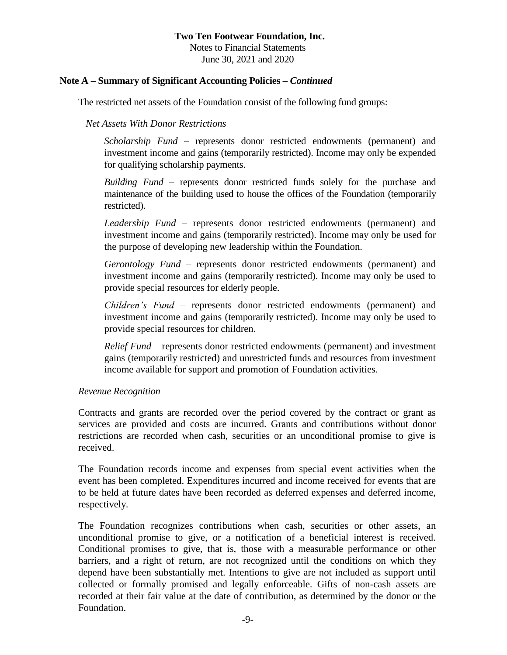Notes to Financial Statements June 30, 2021 and 2020

#### **Note A – Summary of Significant Accounting Policies –** *Continued*

The restricted net assets of the Foundation consist of the following fund groups:

*Net Assets With Donor Restrictions*

*Scholarship Fund* – represents donor restricted endowments (permanent) and investment income and gains (temporarily restricted). Income may only be expended for qualifying scholarship payments.

*Building Fund* – represents donor restricted funds solely for the purchase and maintenance of the building used to house the offices of the Foundation (temporarily restricted).

*Leadership Fund* – represents donor restricted endowments (permanent) and investment income and gains (temporarily restricted). Income may only be used for the purpose of developing new leadership within the Foundation.

*Gerontology Fund* – represents donor restricted endowments (permanent) and investment income and gains (temporarily restricted). Income may only be used to provide special resources for elderly people.

*Children's Fund* – represents donor restricted endowments (permanent) and investment income and gains (temporarily restricted). Income may only be used to provide special resources for children.

*Relief Fund* – represents donor restricted endowments (permanent) and investment gains (temporarily restricted) and unrestricted funds and resources from investment income available for support and promotion of Foundation activities.

## *Revenue Recognition*

Contracts and grants are recorded over the period covered by the contract or grant as services are provided and costs are incurred. Grants and contributions without donor restrictions are recorded when cash, securities or an unconditional promise to give is received.

The Foundation records income and expenses from special event activities when the event has been completed. Expenditures incurred and income received for events that are to be held at future dates have been recorded as deferred expenses and deferred income, respectively.

The Foundation recognizes contributions when cash, securities or other assets, an unconditional promise to give, or a notification of a beneficial interest is received. Conditional promises to give, that is, those with a measurable performance or other barriers, and a right of return, are not recognized until the conditions on which they depend have been substantially met. Intentions to give are not included as support until collected or formally promised and legally enforceable. Gifts of non-cash assets are recorded at their fair value at the date of contribution, as determined by the donor or the Foundation.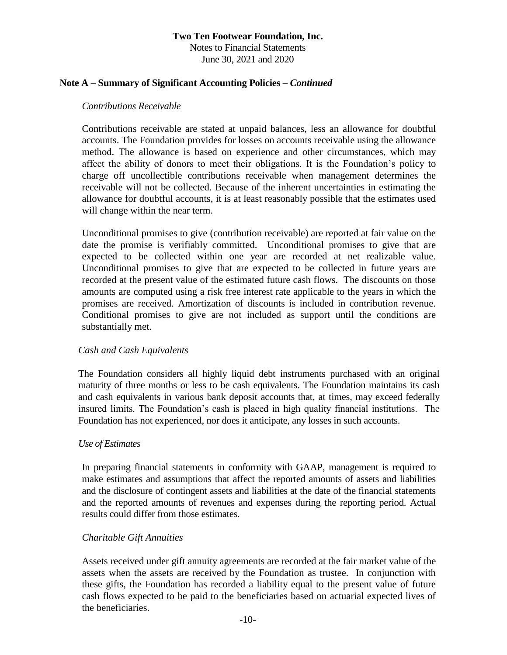Notes to Financial Statements June 30, 2021 and 2020

### **Note A – Summary of Significant Accounting Policies –** *Continued*

#### *Contributions Receivable*

Contributions receivable are stated at unpaid balances, less an allowance for doubtful accounts. The Foundation provides for losses on accounts receivable using the allowance method. The allowance is based on experience and other circumstances, which may affect the ability of donors to meet their obligations. It is the Foundation's policy to charge off uncollectible contributions receivable when management determines the receivable will not be collected. Because of the inherent uncertainties in estimating the allowance for doubtful accounts, it is at least reasonably possible that the estimates used will change within the near term.

Unconditional promises to give (contribution receivable) are reported at fair value on the date the promise is verifiably committed. Unconditional promises to give that are expected to be collected within one year are recorded at net realizable value. Unconditional promises to give that are expected to be collected in future years are recorded at the present value of the estimated future cash flows. The discounts on those amounts are computed using a risk free interest rate applicable to the years in which the promises are received. Amortization of discounts is included in contribution revenue. Conditional promises to give are not included as support until the conditions are substantially met.

## *Cash and Cash Equivalents*

The Foundation considers all highly liquid debt instruments purchased with an original maturity of three months or less to be cash equivalents. The Foundation maintains its cash and cash equivalents in various bank deposit accounts that, at times, may exceed federally insured limits. The Foundation's cash is placed in high quality financial institutions. The Foundation has not experienced, nor does it anticipate, any losses in such accounts.

## *Use of Estimates*

In preparing financial statements in conformity with GAAP, management is required to make estimates and assumptions that affect the reported amounts of assets and liabilities and the disclosure of contingent assets and liabilities at the date of the financial statements and the reported amounts of revenues and expenses during the reporting period. Actual results could differ from those estimates.

## *Charitable Gift Annuities*

Assets received under gift annuity agreements are recorded at the fair market value of the assets when the assets are received by the Foundation as trustee. In conjunction with these gifts, the Foundation has recorded a liability equal to the present value of future cash flows expected to be paid to the beneficiaries based on actuarial expected lives of the beneficiaries.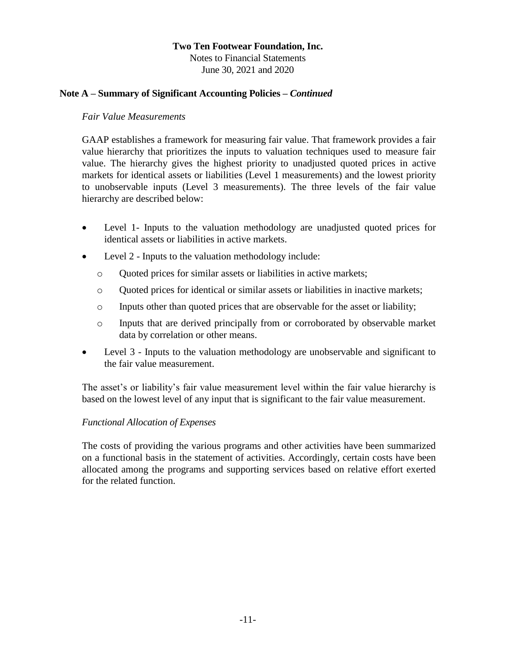Notes to Financial Statements June 30, 2021 and 2020

## **Note A – Summary of Significant Accounting Policies –** *Continued*

## *Fair Value Measurements*

GAAP establishes a framework for measuring fair value. That framework provides a fair value hierarchy that prioritizes the inputs to valuation techniques used to measure fair value. The hierarchy gives the highest priority to unadjusted quoted prices in active markets for identical assets or liabilities (Level 1 measurements) and the lowest priority to unobservable inputs (Level 3 measurements). The three levels of the fair value hierarchy are described below:

- Level 1- Inputs to the valuation methodology are unadjusted quoted prices for identical assets or liabilities in active markets.
- Level 2 Inputs to the valuation methodology include:
	- o Quoted prices for similar assets or liabilities in active markets;
	- o Quoted prices for identical or similar assets or liabilities in inactive markets;
	- o Inputs other than quoted prices that are observable for the asset or liability;
	- o Inputs that are derived principally from or corroborated by observable market data by correlation or other means.
- Level 3 Inputs to the valuation methodology are unobservable and significant to the fair value measurement.

The asset's or liability's fair value measurement level within the fair value hierarchy is based on the lowest level of any input that is significant to the fair value measurement.

## *Functional Allocation of Expenses*

The costs of providing the various programs and other activities have been summarized on a functional basis in the statement of activities. Accordingly, certain costs have been allocated among the programs and supporting services based on relative effort exerted for the related function.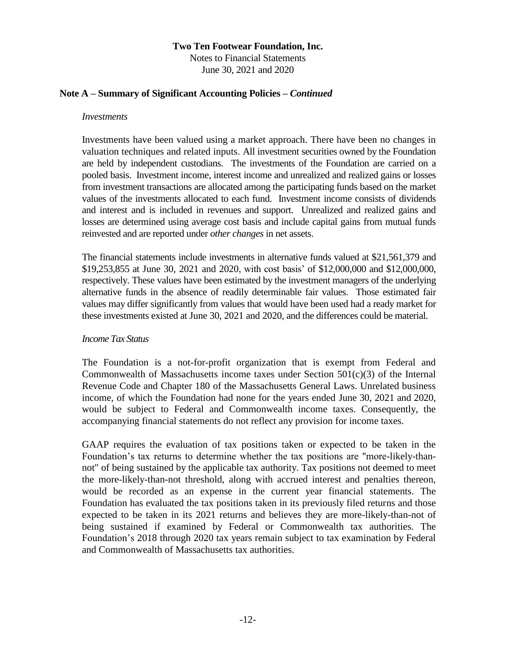Notes to Financial Statements June 30, 2021 and 2020

## **Note A – Summary of Significant Accounting Policies –** *Continued*

#### *Investments*

Investments have been valued using a market approach. There have been no changes in valuation techniques and related inputs. All investment securities owned by the Foundation are held by independent custodians. The investments of the Foundation are carried on a pooled basis. Investment income, interest income and unrealized and realized gains or losses from investment transactions are allocated among the participating funds based on the market values of the investments allocated to each fund. Investment income consists of dividends and interest and is included in revenues and support. Unrealized and realized gains and losses are determined using average cost basis and include capital gains from mutual funds reinvested and are reported under *other changes* in net assets.

The financial statements include investments in alternative funds valued at \$21,561,379 and \$19,253,855 at June 30, 2021 and 2020, with cost basis' of \$12,000,000 and \$12,000,000, respectively. These values have been estimated by the investment managers of the underlying alternative funds in the absence of readily determinable fair values. Those estimated fair values may differ significantly from values that would have been used had a ready market for these investments existed at June 30, 2021 and 2020, and the differences could be material.

## *Income Tax Status*

The Foundation is a not-for-profit organization that is exempt from Federal and Commonwealth of Massachusetts income taxes under Section  $501(c)(3)$  of the Internal Revenue Code and Chapter 180 of the Massachusetts General Laws. Unrelated business income, of which the Foundation had none for the years ended June 30, 2021 and 2020, would be subject to Federal and Commonwealth income taxes. Consequently, the accompanying financial statements do not reflect any provision for income taxes.

GAAP requires the evaluation of tax positions taken or expected to be taken in the Foundation's tax returns to determine whether the tax positions are "more-likely-thannot" of being sustained by the applicable tax authority. Tax positions not deemed to meet the more-likely-than-not threshold, along with accrued interest and penalties thereon, would be recorded as an expense in the current year financial statements. The Foundation has evaluated the tax positions taken in its previously filed returns and those expected to be taken in its 2021 returns and believes they are more-likely-than-not of being sustained if examined by Federal or Commonwealth tax authorities. The Foundation's 2018 through 2020 tax years remain subject to tax examination by Federal and Commonwealth of Massachusetts tax authorities.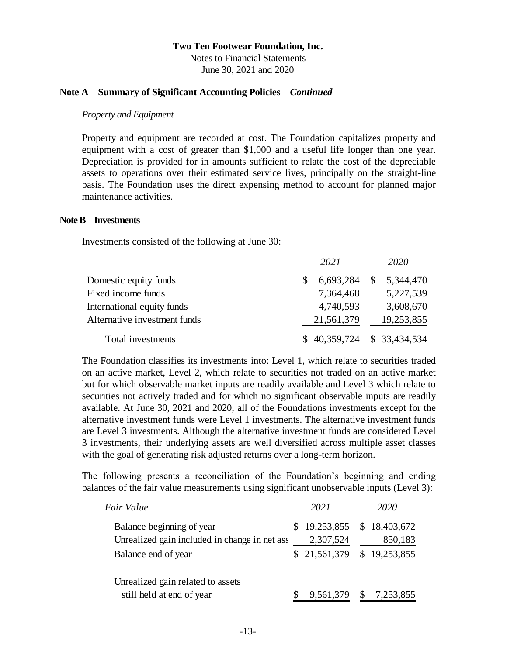Notes to Financial Statements June 30, 2021 and 2020

#### **Note A – Summary of Significant Accounting Policies –** *Continued*

#### *Property and Equipment*

Property and equipment are recorded at cost. The Foundation capitalizes property and equipment with a cost of greater than \$1,000 and a useful life longer than one year. Depreciation is provided for in amounts sufficient to relate the cost of the depreciable assets to operations over their estimated service lives, principally on the straight-line basis. The Foundation uses the direct expensing method to account for planned major maintenance activities.

#### **Note B – Investments**

Investments consisted of the following at June 30:

|                              | 2021           | 2020                       |
|------------------------------|----------------|----------------------------|
| Domestic equity funds        | 6,693,284<br>S | 5,344,470<br><sup>\$</sup> |
| Fixed income funds           | 7,364,468      | 5,227,539                  |
| International equity funds   | 4,740,593      | 3,608,670                  |
| Alternative investment funds | 21,561,379     | 19,253,855                 |
| Total investments            | \$40,359,724   | \$ 33,434,534              |

The Foundation classifies its investments into: Level 1, which relate to securities traded on an active market, Level 2, which relate to securities not traded on an active market but for which observable market inputs are readily available and Level 3 which relate to securities not actively traded and for which no significant observable inputs are readily available. At June 30, 2021 and 2020, all of the Foundations investments except for the alternative investment funds were Level 1 investments. The alternative investment funds are Level 3 investments. Although the alternative investment funds are considered Level 3 investments, their underlying assets are well diversified across multiple asset classes with the goal of generating risk adjusted returns over a long-term horizon.

The following presents a reconciliation of the Foundation's beginning and ending balances of the fair value measurements using significant unobservable inputs (Level 3):

| Fair Value                                                                 | 2021                                     |          | 2020         |
|----------------------------------------------------------------------------|------------------------------------------|----------|--------------|
| Balance beginning of year<br>Unrealized gain included in change in net ass | $$19,253,855$ $$18,403,672$<br>2,307,524 |          | 850,183      |
| Balance end of year                                                        | \$21,561,379                             |          | \$19,253,855 |
| Unrealized gain related to assets<br>still held at end of year             | 9,561,379                                | <b>S</b> | 7,253,855    |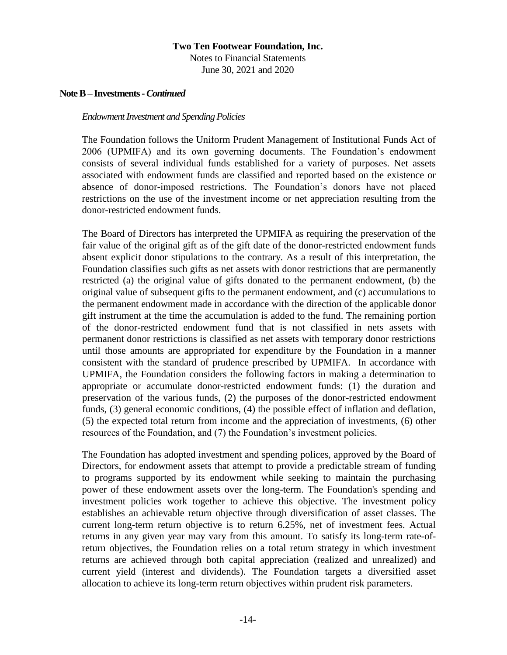Notes to Financial Statements June 30, 2021 and 2020

#### **Note B – Investments -***Continued*

#### *Endowment Investment and Spending Policies*

The Foundation follows the Uniform Prudent Management of Institutional Funds Act of 2006 (UPMIFA) and its own governing documents. The Foundation's endowment consists of several individual funds established for a variety of purposes. Net assets associated with endowment funds are classified and reported based on the existence or absence of donor-imposed restrictions. The Foundation's donors have not placed restrictions on the use of the investment income or net appreciation resulting from the donor-restricted endowment funds.

The Board of Directors has interpreted the UPMIFA as requiring the preservation of the fair value of the original gift as of the gift date of the donor-restricted endowment funds absent explicit donor stipulations to the contrary. As a result of this interpretation, the Foundation classifies such gifts as net assets with donor restrictions that are permanently restricted (a) the original value of gifts donated to the permanent endowment, (b) the original value of subsequent gifts to the permanent endowment, and (c) accumulations to the permanent endowment made in accordance with the direction of the applicable donor gift instrument at the time the accumulation is added to the fund. The remaining portion of the donor-restricted endowment fund that is not classified in nets assets with permanent donor restrictions is classified as net assets with temporary donor restrictions until those amounts are appropriated for expenditure by the Foundation in a manner consistent with the standard of prudence prescribed by UPMIFA. In accordance with UPMIFA, the Foundation considers the following factors in making a determination to appropriate or accumulate donor-restricted endowment funds: (1) the duration and preservation of the various funds, (2) the purposes of the donor-restricted endowment funds, (3) general economic conditions, (4) the possible effect of inflation and deflation, (5) the expected total return from income and the appreciation of investments, (6) other resources of the Foundation, and (7) the Foundation's investment policies.

The Foundation has adopted investment and spending polices, approved by the Board of Directors, for endowment assets that attempt to provide a predictable stream of funding to programs supported by its endowment while seeking to maintain the purchasing power of these endowment assets over the long-term. The Foundation's spending and investment policies work together to achieve this objective. The investment policy establishes an achievable return objective through diversification of asset classes. The current long-term return objective is to return 6.25%, net of investment fees. Actual returns in any given year may vary from this amount. To satisfy its long-term rate-ofreturn objectives, the Foundation relies on a total return strategy in which investment returns are achieved through both capital appreciation (realized and unrealized) and current yield (interest and dividends). The Foundation targets a diversified asset allocation to achieve its long-term return objectives within prudent risk parameters.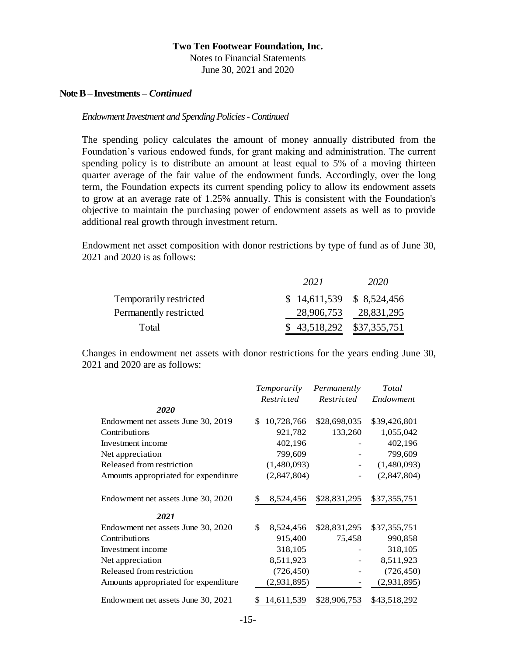Notes to Financial Statements June 30, 2021 and 2020

### **Note B – Investments –** *Continued*

#### *Endowment Investment and Spending Policies -Continued*

The spending policy calculates the amount of money annually distributed from the Foundation's various endowed funds, for grant making and administration. The current spending policy is to distribute an amount at least equal to 5% of a moving thirteen quarter average of the fair value of the endowment funds. Accordingly, over the long term, the Foundation expects its current spending policy to allow its endowment assets to grow at an average rate of 1.25% annually. This is consistent with the Foundation's objective to maintain the purchasing power of endowment assets as well as to provide additional real growth through investment return.

Endowment net asset composition with donor restrictions by type of fund as of June 30, 2021 and 2020 is as follows:

|                        | 2021                        | 2020       |
|------------------------|-----------------------------|------------|
| Temporarily restricted | $$14,611,539$ $$8,524,456$  |            |
| Permanently restricted | 28,906,753                  | 28,831,295 |
| Total                  | $$43,518,292$ $$37,355,751$ |            |

Changes in endowment net assets with donor restrictions for the years ending June 30, 2021 and 2020 are as follows:

|                                      | Temporarily       | Permanently  | Total        |
|--------------------------------------|-------------------|--------------|--------------|
|                                      | Restricted        | Restricted   | Endowment    |
| 2020                                 |                   |              |              |
| Endowment net assets June 30, 2019   | 10,728,766<br>\$. | \$28,698,035 | \$39,426,801 |
| Contributions                        | 921,782           | 133,260      | 1,055,042    |
| Investment income                    | 402,196           |              | 402,196      |
| Net appreciation                     | 799,609           |              | 799,609      |
| Released from restriction            | (1,480,093)       |              | (1,480,093)  |
| Amounts appropriated for expenditure | (2,847,804)       |              | (2,847,804)  |
| Endowment net assets June 30, 2020   | 8,524,456<br>S    | \$28,831,295 | \$37,355,751 |
| 2021                                 |                   |              |              |
| Endowment net assets June 30, 2020   | \$.<br>8,524,456  | \$28,831,295 | \$37,355,751 |
| Contributions                        | 915,400           | 75,458       | 990,858      |
| Investment income                    | 318,105           |              | 318,105      |
| Net appreciation                     | 8,511,923         |              | 8,511,923    |
| Released from restriction            | (726, 450)        |              | (726, 450)   |
| Amounts appropriated for expenditure | (2,931,895)       |              | (2,931,895)  |
| Endowment net assets June 30, 2021   | 14,611,539        | \$28,906,753 | \$43,518,292 |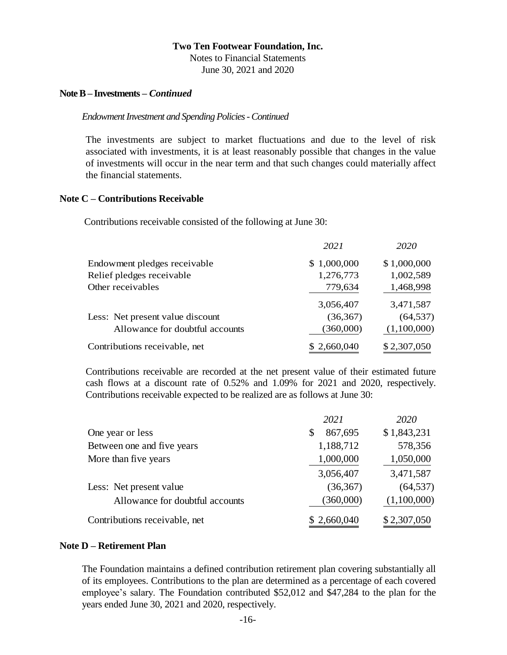Notes to Financial Statements June 30, 2021 and 2020

## **Note B – Investments –** *Continued*

#### *Endowment Investment and Spending Policies -Continued*

The investments are subject to market fluctuations and due to the level of risk associated with investments, it is at least reasonably possible that changes in the value of investments will occur in the near term and that such changes could materially affect the financial statements.

#### **Note C – Contributions Receivable**

Contributions receivable consisted of the following at June 30:

|                                  | 2021        | 2020        |
|----------------------------------|-------------|-------------|
| Endowment pledges receivable     | \$1,000,000 | \$1,000,000 |
| Relief pledges receivable        | 1,276,773   | 1,002,589   |
| Other receivables                | 779,634     | 1,468,998   |
|                                  | 3,056,407   | 3,471,587   |
| Less: Net present value discount | (36, 367)   | (64, 537)   |
| Allowance for doubtful accounts  | (360,000)   | (1,100,000) |
| Contributions receivable, net    | \$2,660,040 | \$2,307,050 |

Contributions receivable are recorded at the net present value of their estimated future cash flows at a discount rate of 0.52% and 1.09% for 2021 and 2020, respectively. Contributions receivable expected to be realized are as follows at June 30:

|                                 | 2021          | 2020        |
|---------------------------------|---------------|-------------|
| One year or less                | 867,695<br>\$ | \$1,843,231 |
| Between one and five years      | 1,188,712     | 578,356     |
| More than five years            | 1,000,000     | 1,050,000   |
|                                 | 3,056,407     | 3,471,587   |
| Less: Net present value         | (36,367)      | (64, 537)   |
| Allowance for doubtful accounts | (360,000)     | (1,100,000) |
| Contributions receivable, net   | \$2,660,040   | \$2,307,050 |

## **Note D – Retirement Plan**

The Foundation maintains a defined contribution retirement plan covering substantially all of its employees. Contributions to the plan are determined as a percentage of each covered employee's salary. The Foundation contributed \$52,012 and \$47,284 to the plan for the years ended June 30, 2021 and 2020, respectively.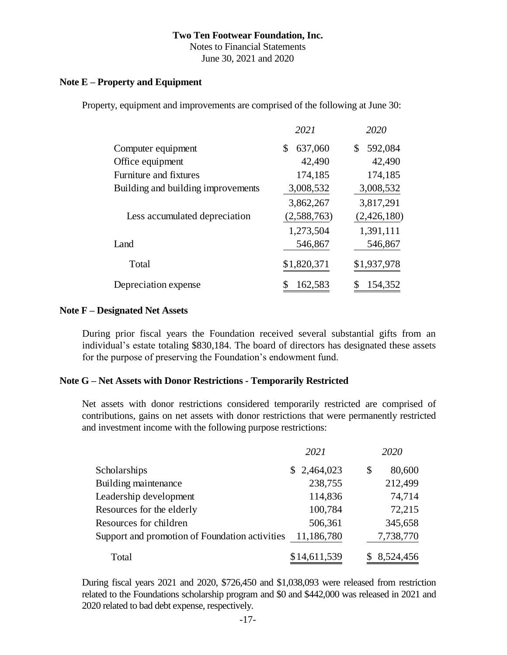Notes to Financial Statements

June 30, 2021 and 2020

## **Note E – Property and Equipment**

Property, equipment and improvements are comprised of the following at June 30:

|                                    | 2021          | 2020          |
|------------------------------------|---------------|---------------|
| Computer equipment                 | 637,060<br>\$ | 592,084<br>\$ |
| Office equipment                   | 42,490        | 42,490        |
| Furniture and fixtures             | 174,185       | 174,185       |
| Building and building improvements | 3,008,532     | 3,008,532     |
|                                    | 3,862,267     | 3,817,291     |
| Less accumulated depreciation      | (2,588,763)   | (2,426,180)   |
|                                    | 1,273,504     | 1,391,111     |
| Land                               | 546,867       | 546,867       |
| Total                              | \$1,820,371   | \$1,937,978   |
| Depreciation expense               | 162,583       | 154,352       |

#### **Note F – Designated Net Assets**

During prior fiscal years the Foundation received several substantial gifts from an individual's estate totaling \$830,184. The board of directors has designated these assets for the purpose of preserving the Foundation's endowment fund.

## **Note G – Net Assets with Donor Restrictions - Temporarily Restricted**

Net assets with donor restrictions considered temporarily restricted are comprised of contributions, gains on net assets with donor restrictions that were permanently restricted and investment income with the following purpose restrictions:

|                                                | 2021         | 2020         |  |
|------------------------------------------------|--------------|--------------|--|
| Scholarships                                   | \$2,464,023  | 80,600<br>\$ |  |
| Building maintenance                           | 238,755      | 212,499      |  |
| Leadership development                         | 114,836      | 74,714       |  |
| Resources for the elderly                      | 100,784      | 72,215       |  |
| Resources for children                         | 506,361      | 345,658      |  |
| Support and promotion of Foundation activities | 11,186,780   | 7,738,770    |  |
| Total                                          | \$14,611,539 | 8,524,456    |  |

During fiscal years 2021 and 2020, \$726,450 and \$1,038,093 were released from restriction related to the Foundations scholarship program and \$0 and \$442,000 was released in 2021 and 2020 related to bad debt expense, respectively.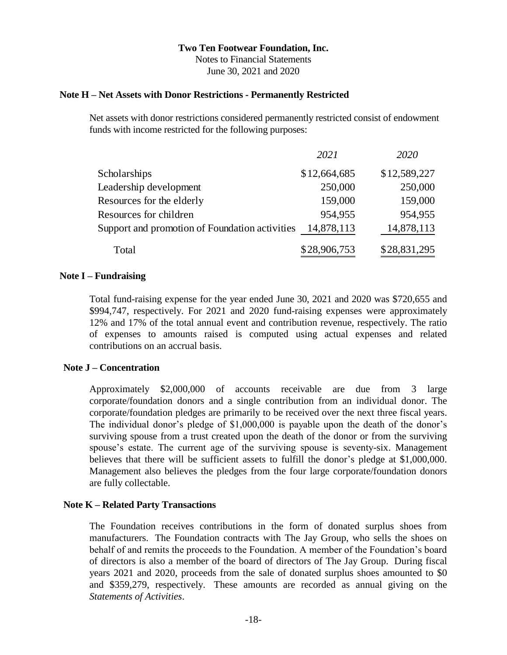Notes to Financial Statements June 30, 2021 and 2020

#### **Note H – Net Assets with Donor Restrictions - Permanently Restricted**

Net assets with donor restrictions considered permanently restricted consist of endowment funds with income restricted for the following purposes:

|                                                | 2021         | 2020         |
|------------------------------------------------|--------------|--------------|
| Scholarships                                   | \$12,664,685 | \$12,589,227 |
| Leadership development                         | 250,000      | 250,000      |
| Resources for the elderly                      | 159,000      | 159,000      |
| Resources for children                         | 954,955      | 954,955      |
| Support and promotion of Foundation activities | 14,878,113   | 14,878,113   |
| Total                                          | \$28,906,753 | \$28,831,295 |

## **Note I – Fundraising**

Total fund-raising expense for the year ended June 30, 2021 and 2020 was \$720,655 and \$994,747, respectively. For 2021 and 2020 fund-raising expenses were approximately 12% and 17% of the total annual event and contribution revenue, respectively. The ratio of expenses to amounts raised is computed using actual expenses and related contributions on an accrual basis.

## **Note J – Concentration**

Approximately \$2,000,000 of accounts receivable are due from 3 large corporate/foundation donors and a single contribution from an individual donor. The corporate/foundation pledges are primarily to be received over the next three fiscal years. The individual donor's pledge of \$1,000,000 is payable upon the death of the donor's surviving spouse from a trust created upon the death of the donor or from the surviving spouse's estate. The current age of the surviving spouse is seventy-six. Management believes that there will be sufficient assets to fulfill the donor's pledge at \$1,000,000. Management also believes the pledges from the four large corporate/foundation donors are fully collectable.

## **Note K – Related Party Transactions**

The Foundation receives contributions in the form of donated surplus shoes from manufacturers. The Foundation contracts with The Jay Group, who sells the shoes on behalf of and remits the proceeds to the Foundation. A member of the Foundation's board of directors is also a member of the board of directors of The Jay Group. During fiscal years 2021 and 2020, proceeds from the sale of donated surplus shoes amounted to \$0 and \$359,279, respectively. These amounts are recorded as annual giving on the *Statements of Activities*.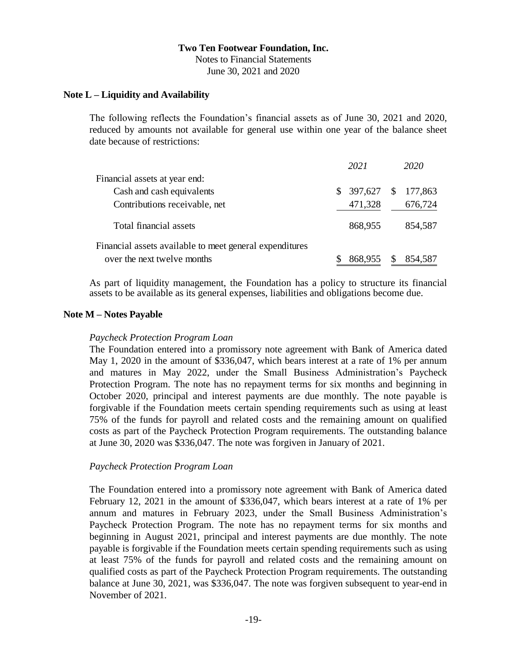Notes to Financial Statements June 30, 2021 and 2020

#### **Note L – Liquidity and Availability**

The following reflects the Foundation's financial assets as of June 30, 2021 and 2020, reduced by amounts not available for general use within one year of the balance sheet date because of restrictions:

|                                                         | 2021                  | 2020          |
|---------------------------------------------------------|-----------------------|---------------|
| Financial assets at year end:                           |                       |               |
| Cash and cash equivalents                               | $$397,627$ $$177,863$ |               |
| Contributions receivable, net                           | 471,328               | 676,724       |
| Total financial assets                                  | 868,955               | 854,587       |
| Financial assets available to meet general expenditures |                       |               |
| over the next twelve months                             | 868,955               | \$<br>854,587 |

As part of liquidity management, the Foundation has a policy to structure its financial assets to be available as its general expenses, liabilities and obligations become due.

#### **Note M – Notes Payable**

## *Paycheck Protection Program Loan*

The Foundation entered into a promissory note agreement with Bank of America dated May 1, 2020 in the amount of \$336,047, which bears interest at a rate of 1% per annum and matures in May 2022, under the Small Business Administration's Paycheck Protection Program. The note has no repayment terms for six months and beginning in October 2020, principal and interest payments are due monthly. The note payable is forgivable if the Foundation meets certain spending requirements such as using at least 75% of the funds for payroll and related costs and the remaining amount on qualified costs as part of the Paycheck Protection Program requirements. The outstanding balance at June 30, 2020 was \$336,047. The note was forgiven in January of 2021.

## *Paycheck Protection Program Loan*

The Foundation entered into a promissory note agreement with Bank of America dated February 12, 2021 in the amount of \$336,047, which bears interest at a rate of 1% per annum and matures in February 2023, under the Small Business Administration's Paycheck Protection Program. The note has no repayment terms for six months and beginning in August 2021, principal and interest payments are due monthly. The note payable is forgivable if the Foundation meets certain spending requirements such as using at least 75% of the funds for payroll and related costs and the remaining amount on qualified costs as part of the Paycheck Protection Program requirements. The outstanding balance at June 30, 2021, was \$336,047. The note was forgiven subsequent to year-end in November of 2021.